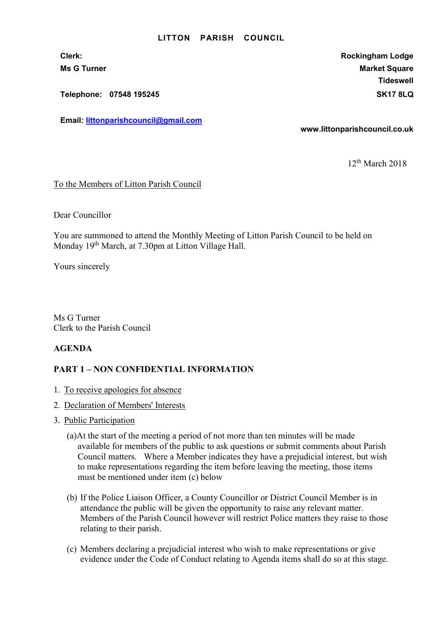#### LITTON PARISH COUNCIL

Telephone: 07548 195245 SK17 8LQ

Email: littonparishcouncil@gmail.com

Clerk: Rockingham Lodge Ms G Turner Market Square Market Square Market Square Market Square **Tideswell** 

www.littonparishcouncil.co.uk

12th March 2018

### To the Members of Litton Parish Council

Dear Councillor

You are summoned to attend the Monthly Meeting of Litton Parish Council to be held on Monday 19<sup>th</sup> March, at 7.30pm at Litton Village Hall.

Yours sincerely

Ms G Turner Clerk to the Parish Council

## AGENDA

# PART 1 – NON CONFIDENTIAL INFORMATION

- 1. To receive apologies for absence
- 2. Declaration of Members' Interests
- 3. Public Participation
	- (a)At the start of the meeting a period of not more than ten minutes will be made available for members of the public to ask questions or submit comments about Parish Council matters. Where a Member indicates they have a prejudicial interest, but wish to make representations regarding the item before leaving the meeting, those items must be mentioned under item (c) below
	- (b) If the Police Liaison Officer, a County Councillor or District Council Member is in attendance the public will be given the opportunity to raise any relevant matter. Members of the Parish Council however will restrict Police matters they raise to those relating to their parish.
	- (c) Members declaring a prejudicial interest who wish to make representations or give evidence under the Code of Conduct relating to Agenda items shall do so at this stage.